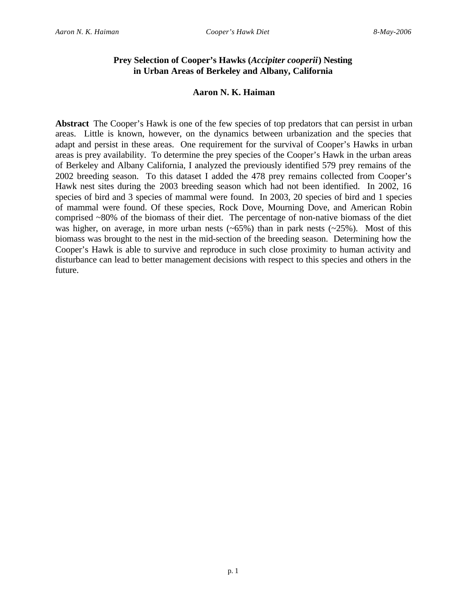# **Prey Selection of Cooper's Hawks (***Accipiter cooperii***) Nesting in Urban Areas of Berkeley and Albany, California**

## **Aaron N. K. Haiman**

**Abstract** The Cooper's Hawk is one of the few species of top predators that can persist in urban areas. Little is known, however, on the dynamics between urbanization and the species that adapt and persist in these areas. One requirement for the survival of Cooper's Hawks in urban areas is prey availability. To determine the prey species of the Cooper's Hawk in the urban areas of Berkeley and Albany California, I analyzed the previously identified 579 prey remains of the 2002 breeding season. To this dataset I added the 478 prey remains collected from Cooper's Hawk nest sites during the 2003 breeding season which had not been identified. In 2002, 16 species of bird and 3 species of mammal were found. In 2003, 20 species of bird and 1 species of mammal were found. Of these species, Rock Dove, Mourning Dove, and American Robin comprised ~80% of the biomass of their diet. The percentage of non-native biomass of the diet was higher, on average, in more urban nests  $(-65%)$  than in park nests  $(-25%)$ . Most of this biomass was brought to the nest in the mid-section of the breeding season. Determining how the Cooper's Hawk is able to survive and reproduce in such close proximity to human activity and disturbance can lead to better management decisions with respect to this species and others in the future.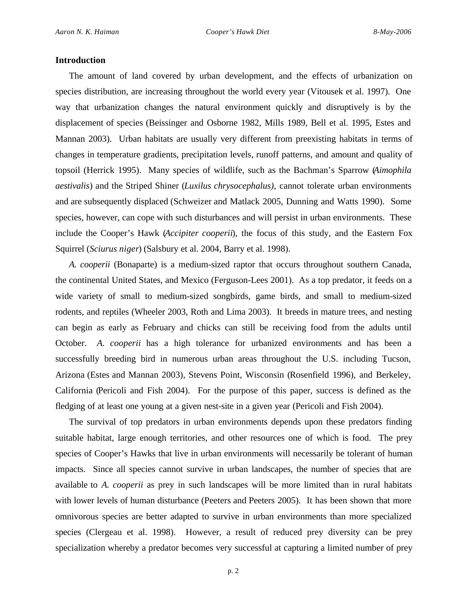## **Introduction**

The amount of land covered by urban development, and the effects of urbanization on species distribution, are increasing throughout the world every year (Vitousek et al. 1997). One way that urbanization changes the natural environment quickly and disruptively is by the displacement of species (Beissinger and Osborne 1982, Mills 1989, Bell et al. 1995, Estes and Mannan 2003). Urban habitats are usually very different from preexisting habitats in terms of changes in temperature gradients, precipitation levels, runoff patterns, and amount and quality of topsoil (Herrick 1995). Many species of wildlife, such as the Bachman's Sparrow (*Aimophila aestivalis*) and the Striped Shiner (*Luxilus chrysocephalus)*, cannot tolerate urban environments and are subsequently displaced (Schweizer and Matlack 2005, Dunning and Watts 1990). Some species, however, can cope with such disturbances and will persist in urban environments. These include the Cooper's Hawk (*Accipiter cooperii*), the focus of this study, and the Eastern Fox Squirrel (*Sciurus niger*) (Salsbury et al. 2004, Barry et al. 1998).

*A. cooperii* (Bonaparte) is a medium-sized raptor that occurs throughout southern Canada, the continental United States, and Mexico (Ferguson-Lees 2001). As a top predator, it feeds on a wide variety of small to medium-sized songbirds, game birds, and small to medium-sized rodents, and reptiles (Wheeler 2003, Roth and Lima 2003). It breeds in mature trees, and nesting can begin as early as February and chicks can still be receiving food from the adults until October. *A. cooperii* has a high tolerance for urbanized environments and has been a successfully breeding bird in numerous urban areas throughout the U.S. including Tucson, Arizona (Estes and Mannan 2003), Stevens Point, Wisconsin (Rosenfield 1996), and Berkeley, California (Pericoli and Fish 2004). For the purpose of this paper, success is defined as the fledging of at least one young at a given nest-site in a given year (Pericoli and Fish 2004).

The survival of top predators in urban environments depends upon these predators finding suitable habitat, large enough territories, and other resources one of which is food. The prey species of Cooper's Hawks that live in urban environments will necessarily be tolerant of human impacts. Since all species cannot survive in urban landscapes, the number of species that are available to *A. cooperii* as prey in such landscapes will be more limited than in rural habitats with lower levels of human disturbance (Peeters and Peeters 2005). It has been shown that more omnivorous species are better adapted to survive in urban environments than more specialized species (Clergeau et al. 1998). However, a result of reduced prey diversity can be prey specialization whereby a predator becomes very successful at capturing a limited number of prey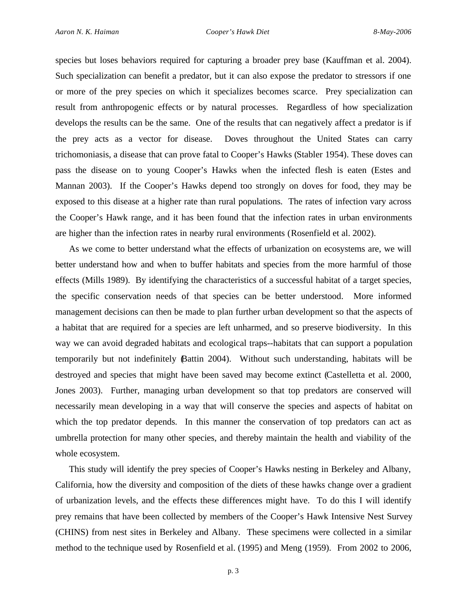species but loses behaviors required for capturing a broader prey base (Kauffman et al. 2004). Such specialization can benefit a predator, but it can also expose the predator to stressors if one or more of the prey species on which it specializes becomes scarce. Prey specialization can result from anthropogenic effects or by natural processes. Regardless of how specialization develops the results can be the same. One of the results that can negatively affect a predator is if the prey acts as a vector for disease. Doves throughout the United States can carry trichomoniasis, a disease that can prove fatal to Cooper's Hawks (Stabler 1954). These doves can pass the disease on to young Cooper's Hawks when the infected flesh is eaten (Estes and Mannan 2003). If the Cooper's Hawks depend too strongly on doves for food, they may be exposed to this disease at a higher rate than rural populations. The rates of infection vary across the Cooper's Hawk range, and it has been found that the infection rates in urban environments are higher than the infection rates in nearby rural environments (Rosenfield et al. 2002).

As we come to better understand what the effects of urbanization on ecosystems are, we will better understand how and when to buffer habitats and species from the more harmful of those effects (Mills 1989). By identifying the characteristics of a successful habitat of a target species, the specific conservation needs of that species can be better understood. More informed management decisions can then be made to plan further urban development so that the aspects of a habitat that are required for a species are left unharmed, and so preserve biodiversity. In this way we can avoid degraded habitats and ecological traps--habitats that can support a population temporarily but not indefinitely (Battin 2004). Without such understanding, habitats will be destroyed and species that might have been saved may become extinct (Castelletta et al. 2000, Jones 2003). Further, managing urban development so that top predators are conserved will necessarily mean developing in a way that will conserve the species and aspects of habitat on which the top predator depends. In this manner the conservation of top predators can act as umbrella protection for many other species, and thereby maintain the health and viability of the whole ecosystem.

This study will identify the prey species of Cooper's Hawks nesting in Berkeley and Albany, California, how the diversity and composition of the diets of these hawks change over a gradient of urbanization levels, and the effects these differences might have. To do this I will identify prey remains that have been collected by members of the Cooper's Hawk Intensive Nest Survey (CHINS) from nest sites in Berkeley and Albany. These specimens were collected in a similar method to the technique used by Rosenfield et al. (1995) and Meng (1959). From 2002 to 2006,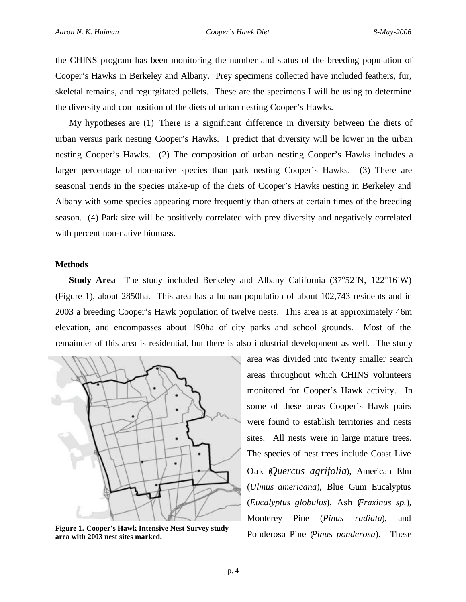the CHINS program has been monitoring the number and status of the breeding population of Cooper's Hawks in Berkeley and Albany. Prey specimens collected have included feathers, fur, skeletal remains, and regurgitated pellets. These are the specimens I will be using to determine the diversity and composition of the diets of urban nesting Cooper's Hawks.

My hypotheses are (1) There is a significant difference in diversity between the diets of urban versus park nesting Cooper's Hawks. I predict that diversity will be lower in the urban nesting Cooper's Hawks. (2) The composition of urban nesting Cooper's Hawks includes a larger percentage of non-native species than park nesting Cooper's Hawks. (3) There are seasonal trends in the species make-up of the diets of Cooper's Hawks nesting in Berkeley and Albany with some species appearing more frequently than others at certain times of the breeding season. (4) Park size will be positively correlated with prey diversity and negatively correlated with percent non-native biomass.

## **Methods**

**Study Area** The study included Berkeley and Albany California (37°52`N, 122°16`W) (Figure 1), about 2850ha. This area has a human population of about 102,743 residents and in 2003 a breeding Cooper's Hawk population of twelve nests. This area is at approximately 46m elevation, and encompasses about 190ha of city parks and school grounds. Most of the remainder of this area is residential, but there is also industrial development as well. The study



**Figure 1. Cooper's Hawk Intensive Nest Survey study area with 2003 nest sites marked.**

area was divided into twenty smaller search areas throughout which CHINS volunteers monitored for Cooper's Hawk activity. In some of these areas Cooper's Hawk pairs were found to establish territories and nests sites. All nests were in large mature trees. The species of nest trees include Coast Live Oak (*Quercus agrifolia*), American Elm (*Ulmus americana*), Blue Gum Eucalyptus (*Eucalyptus globulus*), Ash (*Fraxinus sp.*), Monterey Pine (*Pinus radiata*), and Ponderosa Pine (*Pinus ponderosa*). These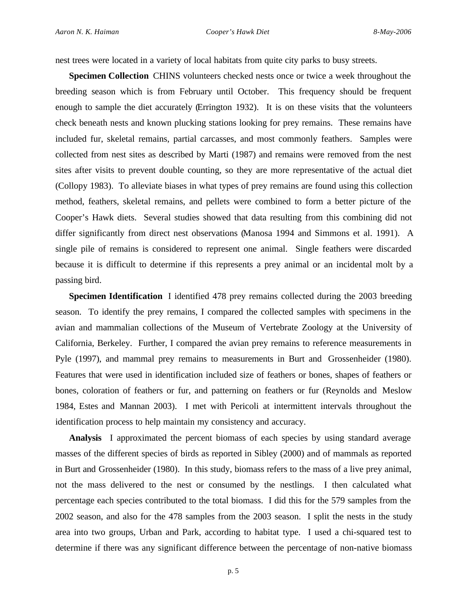nest trees were located in a variety of local habitats from quite city parks to busy streets.

**Specimen Collection** CHINS volunteers checked nests once or twice a week throughout the breeding season which is from February until October. This frequency should be frequent enough to sample the diet accurately (Errington 1932). It is on these visits that the volunteers check beneath nests and known plucking stations looking for prey remains. These remains have included fur, skeletal remains, partial carcasses, and most commonly feathers. Samples were collected from nest sites as described by Marti (1987) and remains were removed from the nest sites after visits to prevent double counting, so they are more representative of the actual diet (Collopy 1983). To alleviate biases in what types of prey remains are found using this collection method, feathers, skeletal remains, and pellets were combined to form a better picture of the Cooper's Hawk diets. Several studies showed that data resulting from this combining did not differ significantly from direct nest observations (Manosa 1994 and Simmons et al. 1991). A single pile of remains is considered to represent one animal. Single feathers were discarded because it is difficult to determine if this represents a prey animal or an incidental molt by a passing bird.

**Specimen Identification** I identified 478 prey remains collected during the 2003 breeding season. To identify the prey remains, I compared the collected samples with specimens in the avian and mammalian collections of the Museum of Vertebrate Zoology at the University of California, Berkeley. Further, I compared the avian prey remains to reference measurements in Pyle (1997), and mammal prey remains to measurements in Burt and Grossenheider (1980). Features that were used in identification included size of feathers or bones, shapes of feathers or bones, coloration of feathers or fur, and patterning on feathers or fur (Reynolds and Meslow 1984, Estes and Mannan 2003). I met with Pericoli at intermittent intervals throughout the identification process to help maintain my consistency and accuracy.

**Analysis** I approximated the percent biomass of each species by using standard average masses of the different species of birds as reported in Sibley (2000) and of mammals as reported in Burt and Grossenheider (1980). In this study, biomass refers to the mass of a live prey animal, not the mass delivered to the nest or consumed by the nestlings. I then calculated what percentage each species contributed to the total biomass. I did this for the 579 samples from the 2002 season, and also for the 478 samples from the 2003 season. I split the nests in the study area into two groups, Urban and Park, according to habitat type. I used a chi-squared test to determine if there was any significant difference between the percentage of non-native biomass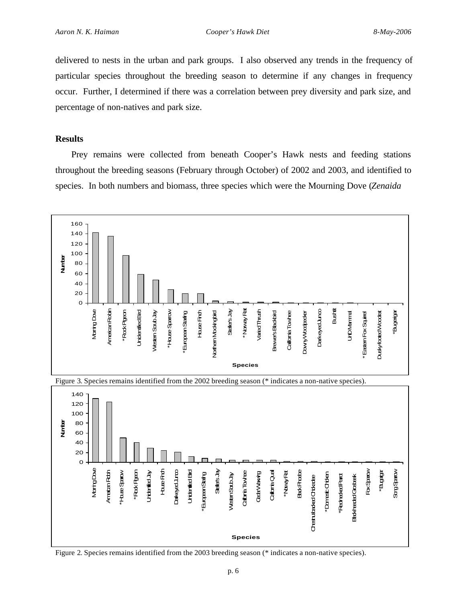delivered to nests in the urban and park groups. I also observed any trends in the frequency of particular species throughout the breeding season to determine if any changes in frequency occur. Further, I determined if there was a correlation between prey diversity and park size, and percentage of non-natives and park size.

## **Results**

Prey remains were collected from beneath Cooper's Hawk nests and feeding stations throughout the breeding seasons (February through October) of 2002 and 2003, and identified to species. In both numbers and biomass, three species which were the Mourning Dove (*Zenaida*



Figure 2. Species remains identified from the 2003 breeding season (\* indicates a non-native species).

**Species**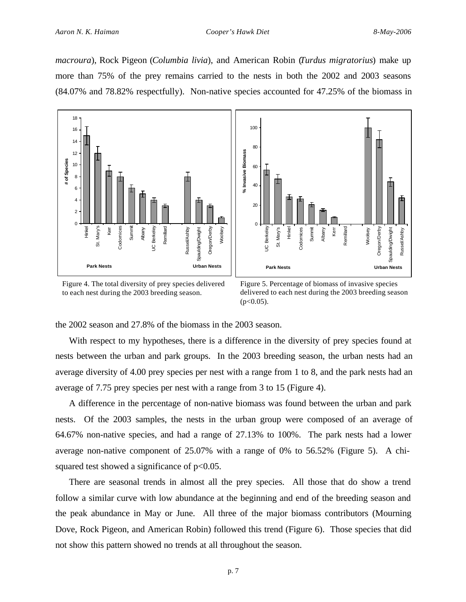*macroura*), Rock Pigeon (*Columbia livia*), and American Robin (*Turdus migratorius*) make up more than 75% of the prey remains carried to the nests in both the 2002 and 2003 seasons (84.07% and 78.82% respectfully). Non-native species accounted for 47.25% of the biomass in





Figure 4. The total diversity of prey species delivered to each nest during the 2003 breeding season.

Figure 5. Percentage of biomass of invasive species delivered to each nest during the 2003 breeding season  $(p<0.05)$ .

the 2002 season and 27.8% of the biomass in the 2003 season.

With respect to my hypotheses, there is a difference in the diversity of prey species found at nests between the urban and park groups. In the 2003 breeding season, the urban nests had an average diversity of 4.00 prey species per nest with a range from 1 to 8, and the park nests had an average of 7.75 prey species per nest with a range from 3 to 15 (Figure 4).

A difference in the percentage of non-native biomass was found between the urban and park nests. Of the 2003 samples, the nests in the urban group were composed of an average of 64.67% non-native species, and had a range of 27.13% to 100%. The park nests had a lower average non-native component of 25.07% with a range of 0% to 56.52% (Figure 5). A chisquared test showed a significance of  $p<0.05$ .

There are seasonal trends in almost all the prey species. All those that do show a trend follow a similar curve with low abundance at the beginning and end of the breeding season and the peak abundance in May or June. All three of the major biomass contributors (Mourning Dove, Rock Pigeon, and American Robin) followed this trend (Figure 6). Those species that did not show this pattern showed no trends at all throughout the season.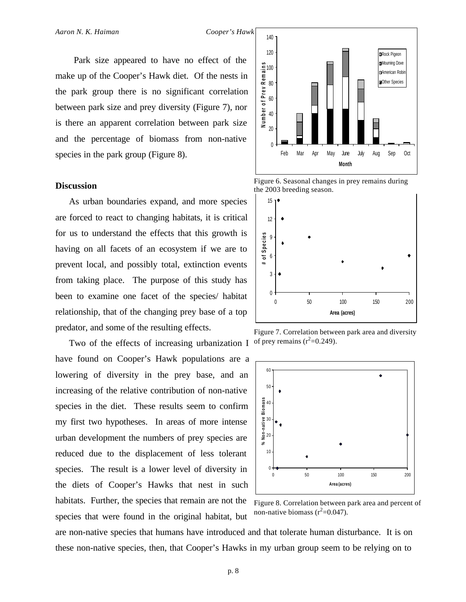Park size appeared to have no effect of the make up of the Cooper's Hawk diet. Of the nests in the park group there is no significant correlation between park size and prey diversity (Figure 7), nor is there an apparent correlation between park size and the percentage of biomass from non-native species in the park group (Figure 8).

## **Discussion**

As urban boundaries expand, and more species are forced to react to changing habitats, it is critical for us to understand the effects that this growth is having on all facets of an ecosystem if we are to prevent local, and possibly total, extinction events from taking place. The purpose of this study has been to examine one facet of the species/ habitat relationship, that of the changing prey base of a top predator, and some of the resulting effects.

Two of the effects of increasing urbanization I have found on Cooper's Hawk populations are a lowering of diversity in the prey base, and an increasing of the relative contribution of non-native species in the diet. These results seem to confirm my first two hypotheses. In areas of more intense urban development the numbers of prey species are reduced due to the displacement of less tolerant species. The result is a lower level of diversity in the diets of Cooper's Hawks that nest in such habitats. Further, the species that remain are not the species that were found in the original habitat, but



Figure 6. Seasonal changes in prey remains during the 2003 breeding season.



Figure 7. Correlation between park area and diversity of prey remains  $(r^2=0.249)$ .



Figure 8. Correlation between park area and percent of non-native biomass  $(r^2=0.047)$ .

are non-native species that humans have introduced and that tolerate human disturbance. It is on these non-native species, then, that Cooper's Hawks in my urban group seem to be relying on to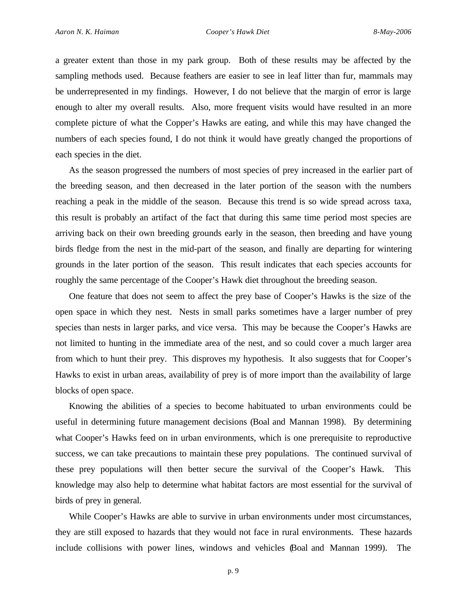a greater extent than those in my park group. Both of these results may be affected by the sampling methods used. Because feathers are easier to see in leaf litter than fur, mammals may be underrepresented in my findings. However, I do not believe that the margin of error is large enough to alter my overall results. Also, more frequent visits would have resulted in an more complete picture of what the Copper's Hawks are eating, and while this may have changed the numbers of each species found, I do not think it would have greatly changed the proportions of each species in the diet.

As the season progressed the numbers of most species of prey increased in the earlier part of the breeding season, and then decreased in the later portion of the season with the numbers reaching a peak in the middle of the season. Because this trend is so wide spread across taxa, this result is probably an artifact of the fact that during this same time period most species are arriving back on their own breeding grounds early in the season, then breeding and have young birds fledge from the nest in the mid-part of the season, and finally are departing for wintering grounds in the later portion of the season. This result indicates that each species accounts for roughly the same percentage of the Cooper's Hawk diet throughout the breeding season.

One feature that does not seem to affect the prey base of Cooper's Hawks is the size of the open space in which they nest. Nests in small parks sometimes have a larger number of prey species than nests in larger parks, and vice versa. This may be because the Cooper's Hawks are not limited to hunting in the immediate area of the nest, and so could cover a much larger area from which to hunt their prey. This disproves my hypothesis. It also suggests that for Cooper's Hawks to exist in urban areas, availability of prey is of more import than the availability of large blocks of open space.

Knowing the abilities of a species to become habituated to urban environments could be useful in determining future management decisions (Boal and Mannan 1998). By determining what Cooper's Hawks feed on in urban environments, which is one prerequisite to reproductive success, we can take precautions to maintain these prey populations. The continued survival of these prey populations will then better secure the survival of the Cooper's Hawk. This knowledge may also help to determine what habitat factors are most essential for the survival of birds of prey in general.

While Cooper's Hawks are able to survive in urban environments under most circumstances, they are still exposed to hazards that they would not face in rural environments. These hazards include collisions with power lines, windows and vehicles (Boal and Mannan 1999). The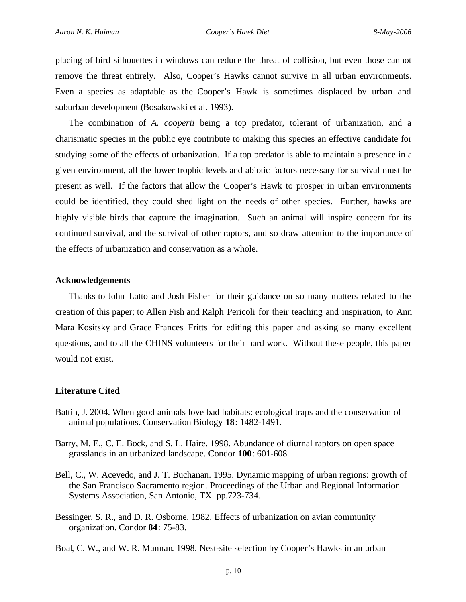placing of bird silhouettes in windows can reduce the threat of collision, but even those cannot remove the threat entirely. Also, Cooper's Hawks cannot survive in all urban environments. Even a species as adaptable as the Cooper's Hawk is sometimes displaced by urban and suburban development (Bosakowski et al. 1993).

The combination of *A. cooperii* being a top predator, tolerant of urbanization, and a charismatic species in the public eye contribute to making this species an effective candidate for studying some of the effects of urbanization. If a top predator is able to maintain a presence in a given environment, all the lower trophic levels and abiotic factors necessary for survival must be present as well. If the factors that allow the Cooper's Hawk to prosper in urban environments could be identified, they could shed light on the needs of other species. Further, hawks are highly visible birds that capture the imagination. Such an animal will inspire concern for its continued survival, and the survival of other raptors, and so draw attention to the importance of the effects of urbanization and conservation as a whole.

### **Acknowledgements**

Thanks to John Latto and Josh Fisher for their guidance on so many matters related to the creation of this paper; to Allen Fish and Ralph Pericoli for their teaching and inspiration, to Ann Mara Kositsky and Grace Frances Fritts for editing this paper and asking so many excellent questions, and to all the CHINS volunteers for their hard work. Without these people, this paper would not exist.

#### **Literature Cited**

- Battin, J. 2004. When good animals love bad habitats: ecological traps and the conservation of animal populations. Conservation Biology **18**: 1482-1491.
- Barry, M. E., C. E. Bock, and S. L. Haire. 1998. Abundance of diurnal raptors on open space grasslands in an urbanized landscape. Condor **100**: 601-608.
- Bell, C., W. Acevedo, and J. T. Buchanan. 1995. Dynamic mapping of urban regions: growth of the San Francisco Sacramento region. Proceedings of the Urban and Regional Information Systems Association, San Antonio, TX. pp.723-734.
- Bessinger, S. R., and D. R. Osborne. 1982. Effects of urbanization on avian community organization. Condor **84**: 75-83.

Boal, C. W., and W. R. Mannan. 1998. Nest-site selection by Cooper's Hawks in an urban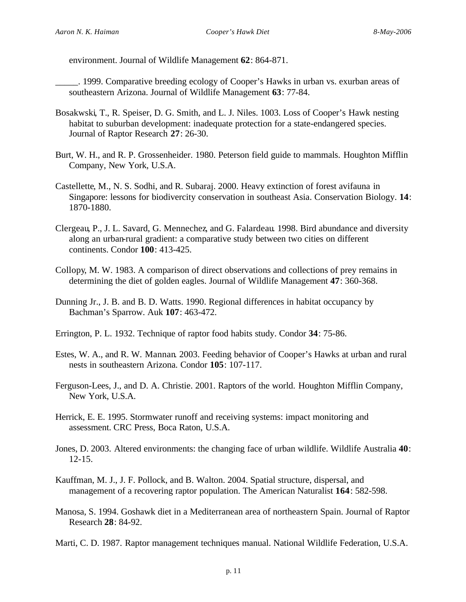environment. Journal of Wildlife Management **62**: 864-871.

- \_\_\_\_\_. 1999. Comparative breeding ecology of Cooper's Hawks in urban vs. exurban areas of southeastern Arizona. Journal of Wildlife Management **63**: 77-84.
- Bosakwski, T., R. Speiser, D. G. Smith, and L. J. Niles. 1003. Loss of Cooper's Hawk nesting habitat to suburban development: inadequate protection for a state-endangered species. Journal of Raptor Research **27**: 26-30.
- Burt, W. H., and R. P. Grossenheider. 1980. Peterson field guide to mammals. Houghton Mifflin Company, New York, U.S.A.
- Castellette, M., N. S. Sodhi, and R. Subaraj. 2000. Heavy extinction of forest avifauna in Singapore: lessons for biodivercity conservation in southeast Asia. Conservation Biology. **14**: 1870-1880.
- Clergeau, P., J. L. Savard, G. Mennechez, and G. Falardeau. 1998. Bird abundance and diversity along an urban-rural gradient: a comparative study between two cities on different continents. Condor **100**: 413-425.
- Collopy, M. W. 1983. A comparison of direct observations and collections of prey remains in determining the diet of golden eagles. Journal of Wildlife Management **47**: 360-368.
- Dunning Jr., J. B. and B. D. Watts. 1990. Regional differences in habitat occupancy by Bachman's Sparrow. Auk **107**: 463-472.
- Errington, P. L. 1932. Technique of raptor food habits study. Condor **34**: 75-86.
- Estes, W. A., and R. W. Mannan. 2003. Feeding behavior of Cooper's Hawks at urban and rural nests in southeastern Arizona. Condor **105**: 107-117.
- Ferguson-Lees, J., and D. A. Christie. 2001. Raptors of the world. Houghton Mifflin Company, New York, U.S.A.
- Herrick, E. E. 1995. Stormwater runoff and receiving systems: impact monitoring and assessment. CRC Press, Boca Raton, U.S.A.
- Jones, D. 2003. Altered environments: the changing face of urban wildlife. Wildlife Australia **40**: 12-15.
- Kauffman, M. J., J. F. Pollock, and B. Walton. 2004. Spatial structure, dispersal, and management of a recovering raptor population. The American Naturalist **164**: 582-598.
- Manosa, S. 1994. Goshawk diet in a Mediterranean area of northeastern Spain. Journal of Raptor Research **28**: 84-92.

Marti, C. D. 1987. Raptor management techniques manual. National Wildlife Federation, U.S.A.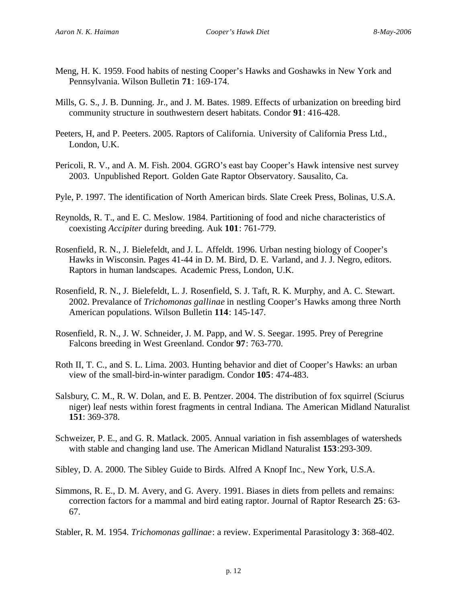- Meng, H. K. 1959. Food habits of nesting Cooper's Hawks and Goshawks in New York and Pennsylvania. Wilson Bulletin **71**: 169-174.
- Mills, G. S., J. B. Dunning. Jr., and J. M. Bates. 1989. Effects of urbanization on breeding bird community structure in southwestern desert habitats. Condor **91**: 416-428.
- Peeters, H, and P. Peeters. 2005. Raptors of California. University of California Press Ltd., London, U.K.
- Pericoli, R. V., and A. M. Fish. 2004. GGRO's east bay Cooper's Hawk intensive nest survey 2003. Unpublished Report. Golden Gate Raptor Observatory. Sausalito, Ca.
- Pyle, P. 1997. The identification of North American birds. Slate Creek Press, Bolinas, U.S.A.
- Reynolds, R. T., and E. C. Meslow. 1984. Partitioning of food and niche characteristics of coexisting *Accipiter* during breeding. Auk **101**: 761-779.
- Rosenfield, R. N., J. Bielefeldt, and J. L. Affeldt. 1996. Urban nesting biology of Cooper's Hawks in Wisconsin. Pages 41-44 in D. M. Bird, D. E. Varland, and J. J. Negro, editors. Raptors in human landscapes. Academic Press, London, U.K.
- Rosenfield, R. N., J. Bielefeldt, L. J. Rosenfield, S. J. Taft, R. K. Murphy, and A. C. Stewart. 2002. Prevalance of *Trichomonas gallinae* in nestling Cooper's Hawks among three North American populations. Wilson Bulletin **114**: 145-147.
- Rosenfield, R. N., J. W. Schneider, J. M. Papp, and W. S. Seegar. 1995. Prey of Peregrine Falcons breeding in West Greenland. Condor **97**: 763-770.
- Roth II, T. C., and S. L. Lima. 2003. Hunting behavior and diet of Cooper's Hawks: an urban view of the small-bird-in-winter paradigm. Condor **105**: 474-483.
- Salsbury, C. M., R. W. Dolan, and E. B. Pentzer. 2004. The distribution of fox squirrel (Sciurus niger) leaf nests within forest fragments in central Indiana. The American Midland Naturalist **151**: 369-378.
- Schweizer, P. E., and G. R. Matlack. 2005. Annual variation in fish assemblages of watersheds with stable and changing land use. The American Midland Naturalist **153**:293-309.
- Sibley, D. A. 2000. The Sibley Guide to Birds. Alfred A Knopf Inc., New York, U.S.A.
- Simmons, R. E., D. M. Avery, and G. Avery. 1991. Biases in diets from pellets and remains: correction factors for a mammal and bird eating raptor. Journal of Raptor Research **25**: 63- 67.
- Stabler, R. M. 1954. *Trichomonas gallinae*: a review. Experimental Parasitology **3**: 368-402.